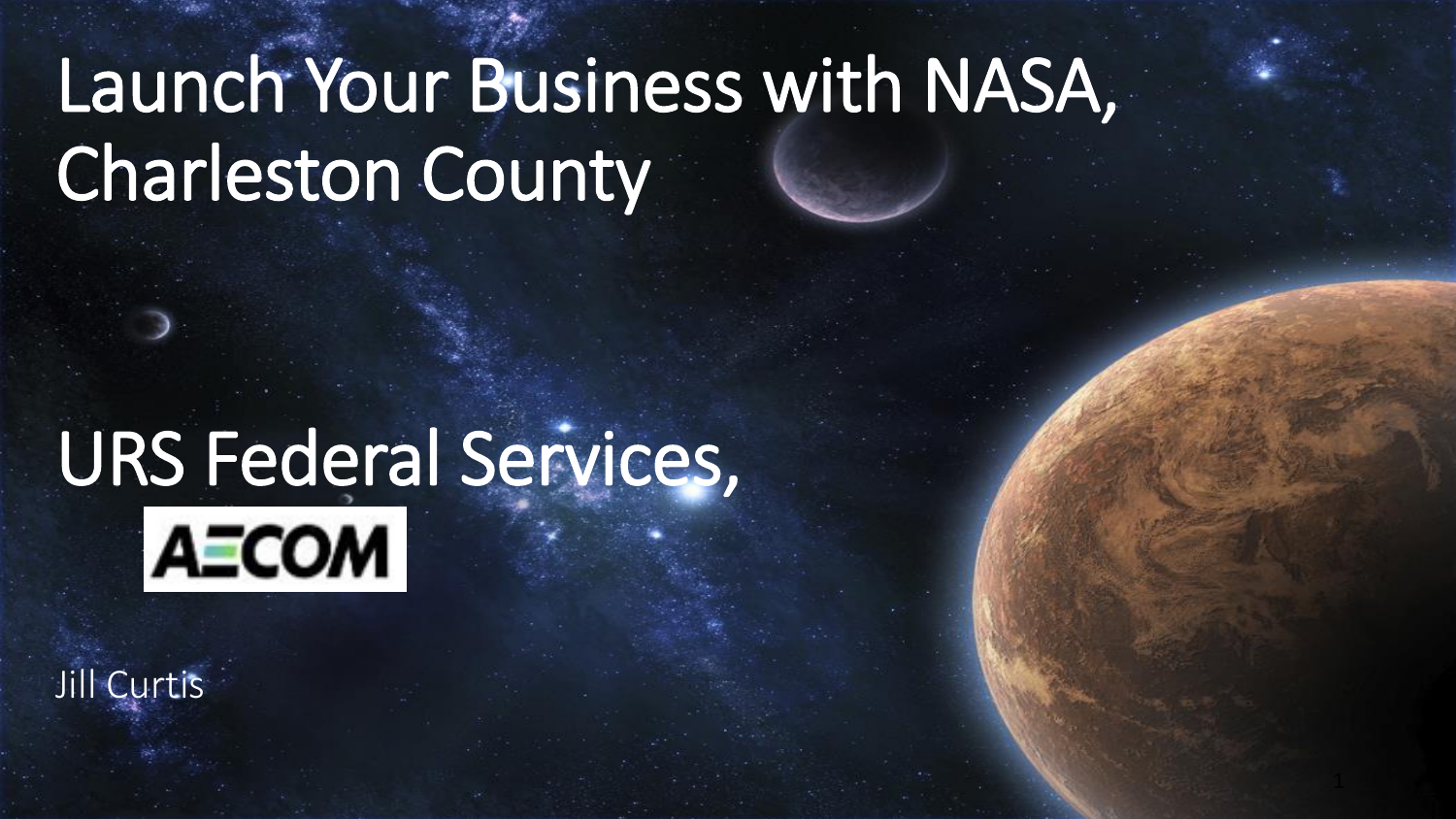# Launch Your Business with NASA, Charleston County

# URS Federal Services, **AECOM**

Jill Curtis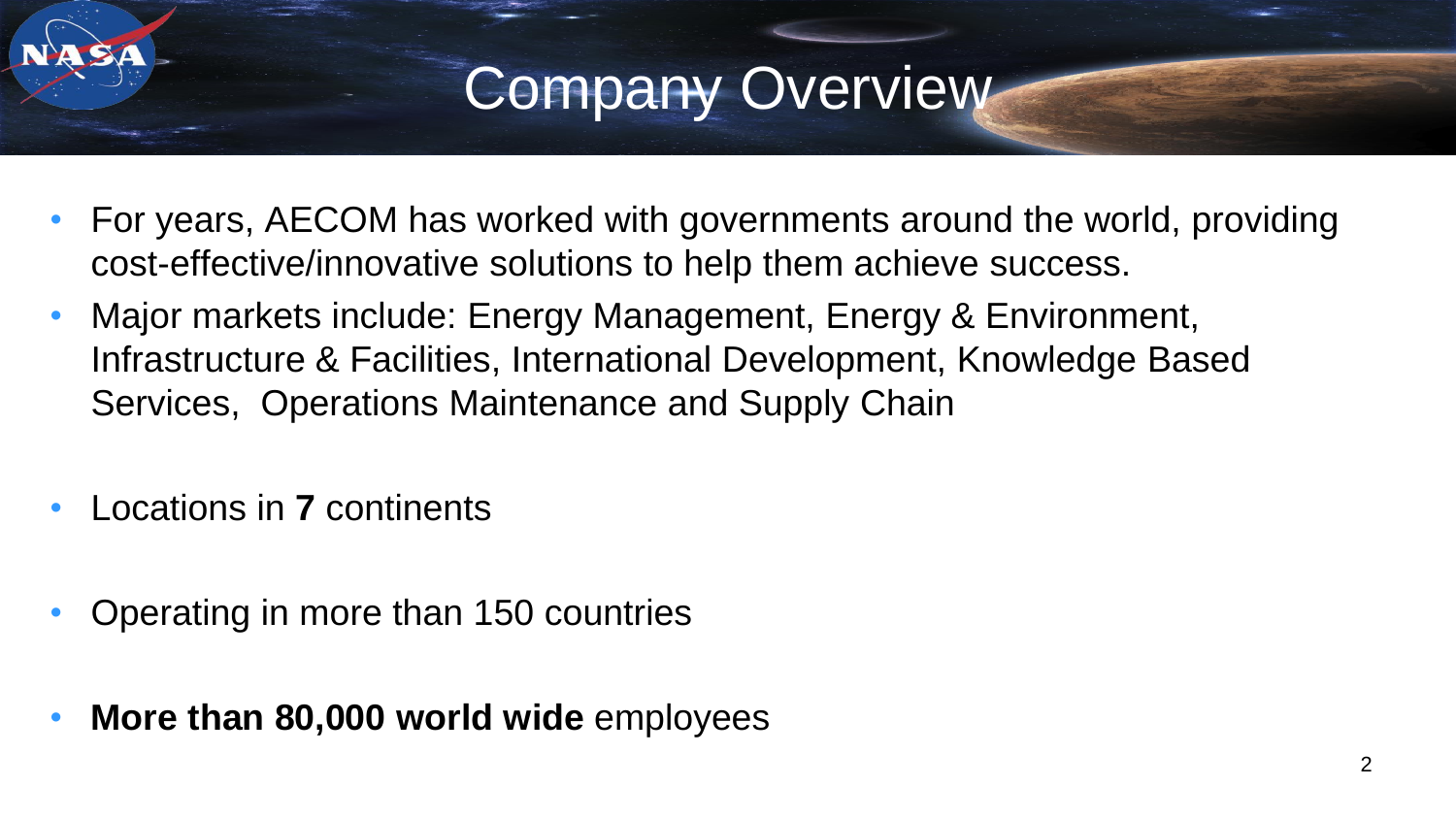- For years, AECOM has worked with governments around the world, providing cost-effective/innovative solutions to help them achieve success.
- Major markets include: Energy Management, Energy & Environment, Infrastructure & Facilities, International Development, Knowledge Based Services, Operations Maintenance and Supply Chain
- Locations in **7** continents
- Operating in more than 150 countries
- **More than 80,000 world wide** employees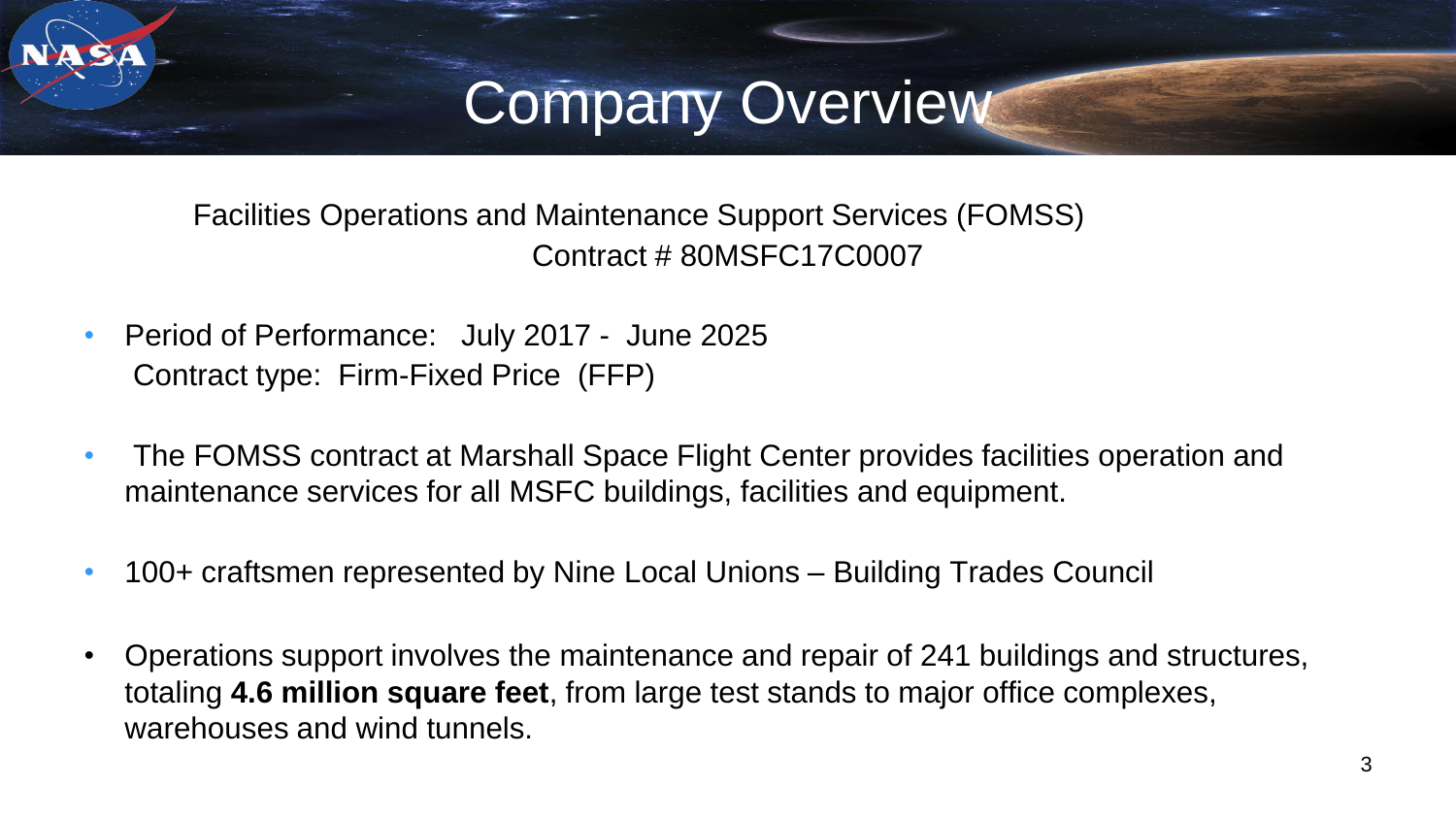Facilities Operations and Maintenance Support Services (FOMSS) Contract # 80MSFC17C0007

- Period of Performance: July 2017 June 2025 Contract type: Firm-Fixed Price (FFP)
- The FOMSS contract at Marshall Space Flight Center provides facilities operation and maintenance services for all MSFC buildings, facilities and equipment.
- 100+ craftsmen represented by Nine Local Unions Building Trades Council
- Operations support involves the maintenance and repair of 241 buildings and structures, totaling **4.6 million square feet**, from large test stands to major office complexes, warehouses and wind tunnels.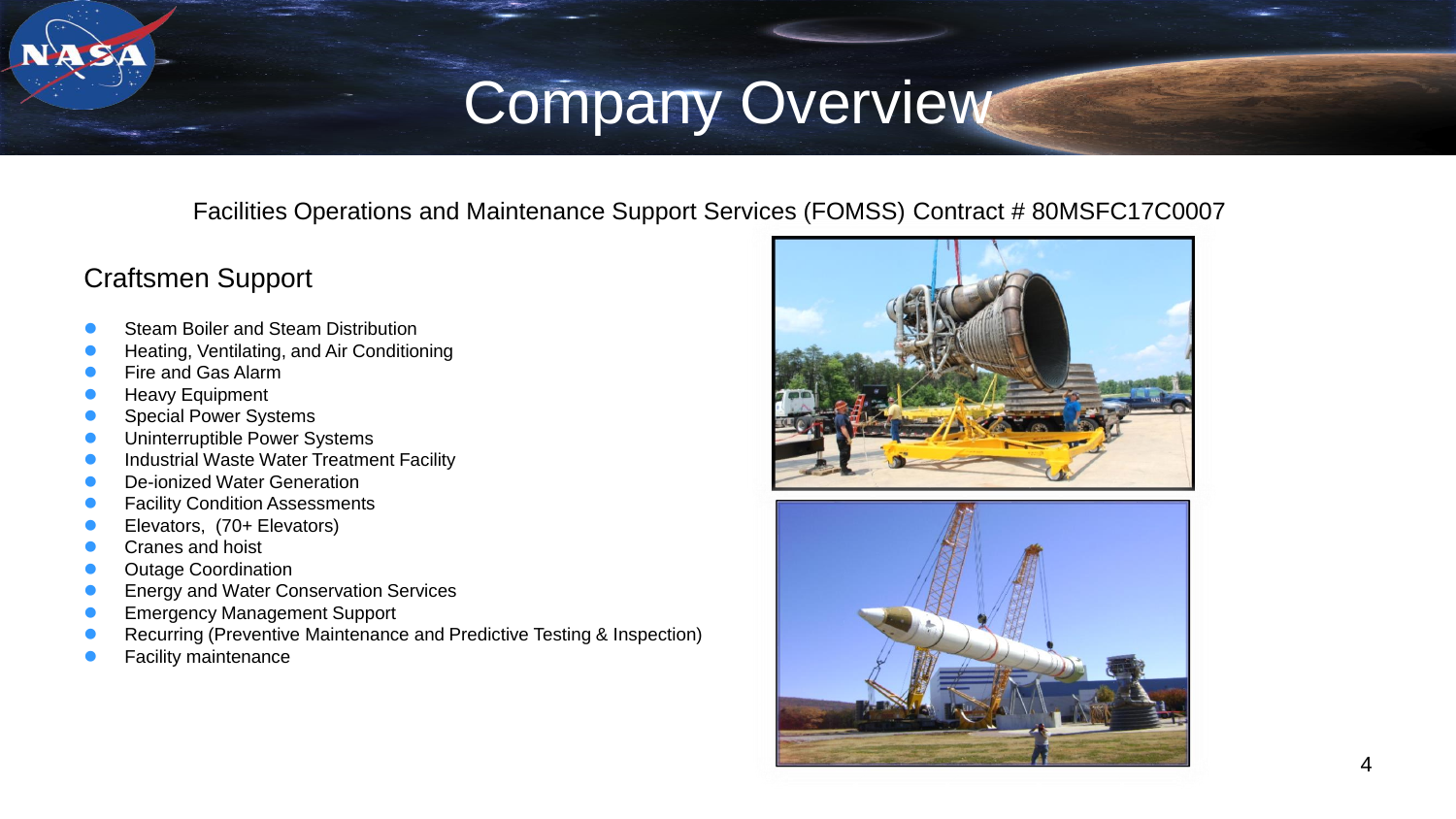Facilities Operations and Maintenance Support Services (FOMSS) Contract # 80MSFC17C0007

#### Craftsmen Support

- Steam Boiler and Steam Distribution
- Heating, Ventilating, and Air Conditioning
- Fire and Gas Alarm
- Heavy Equipment
- Special Power Systems
- Uninterruptible Power Systems
- Industrial Waste Water Treatment Facility
- De-ionized Water Generation
- Facility Condition Assessments
- Elevators, (70+ Elevators)
- Cranes and hoist
- Outage Coordination
- Energy and Water Conservation Services
- Emergency Management Support
- Recurring (Preventive Maintenance and Predictive Testing & Inspection)
- Facility maintenance



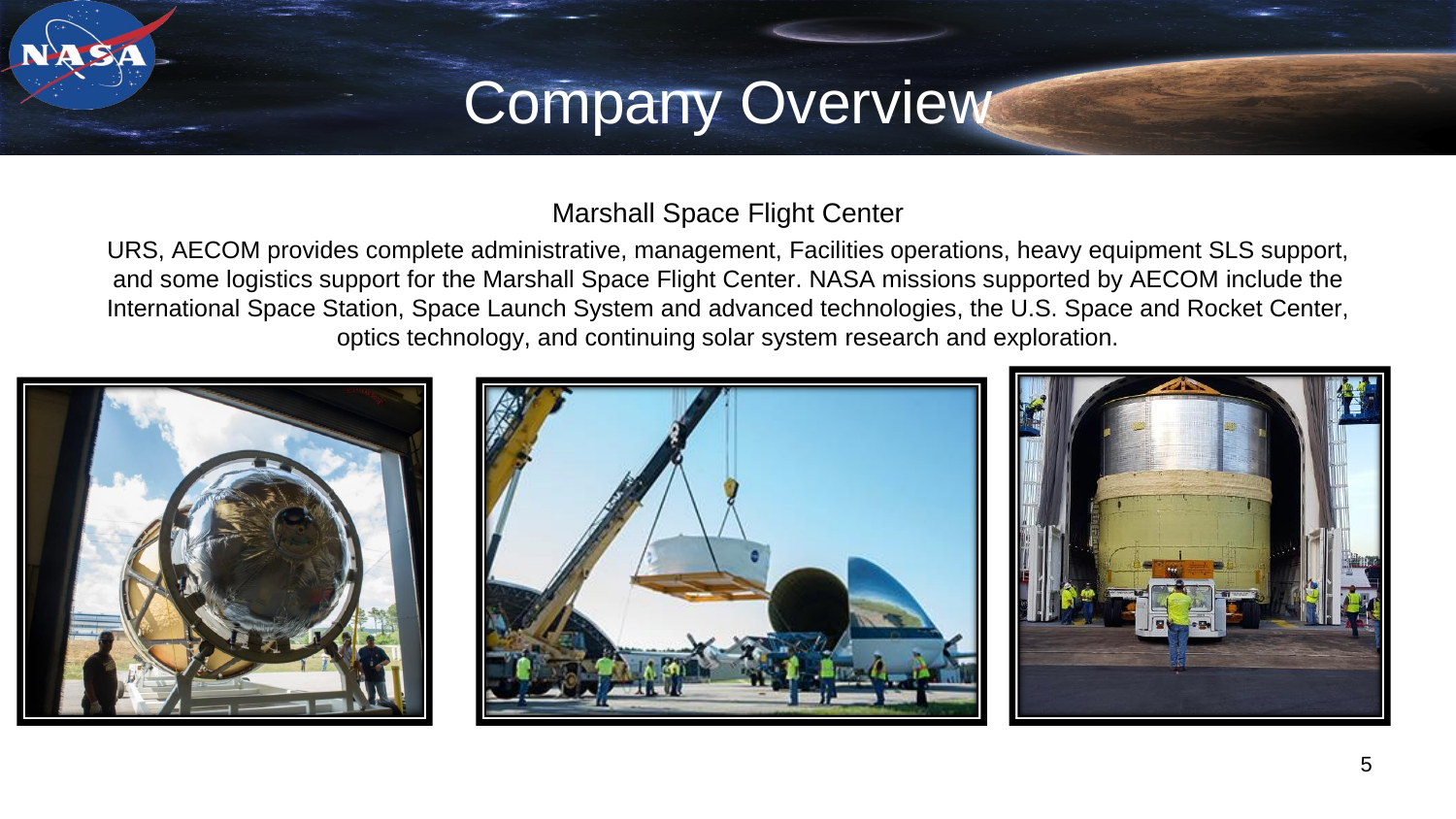#### Marshall Space Flight Center

URS, AECOM provides complete administrative, management, Facilities operations, heavy equipment SLS support, and some logistics support for the Marshall Space Flight Center. NASA missions supported by AECOM include the International Space Station, Space Launch System and advanced technologies, the U.S. Space and Rocket Center, optics technology, and continuing solar system research and exploration.





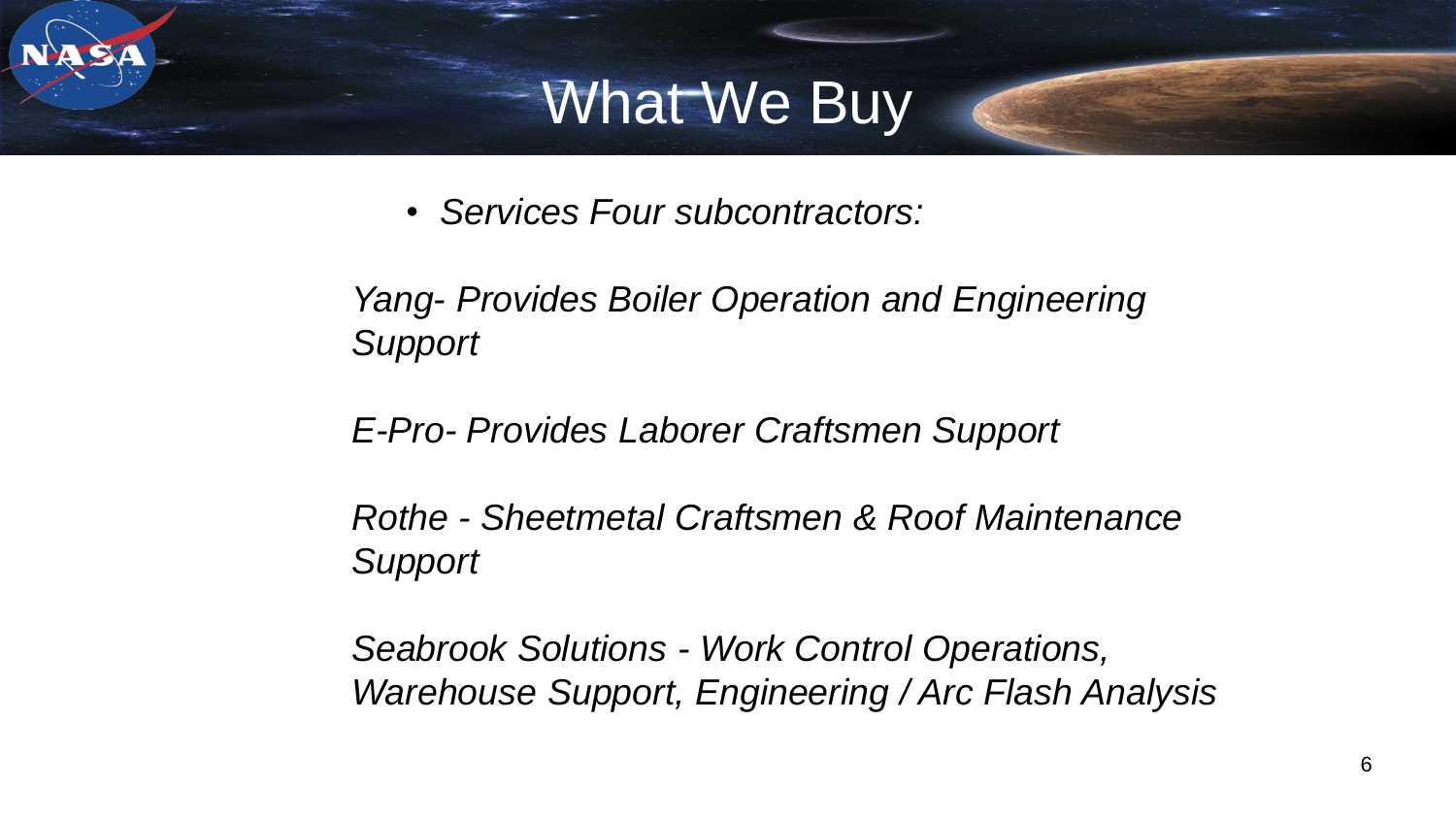### What We Buy

• *Services Four subcontractors:* 

*Yang- Provides Boiler Operation and Engineering Support*

*E-Pro- Provides Laborer Craftsmen Support*

*Rothe - Sheetmetal Craftsmen & Roof Maintenance Support*

*Seabrook Solutions - Work Control Operations, Warehouse Support, Engineering / Arc Flash Analysis*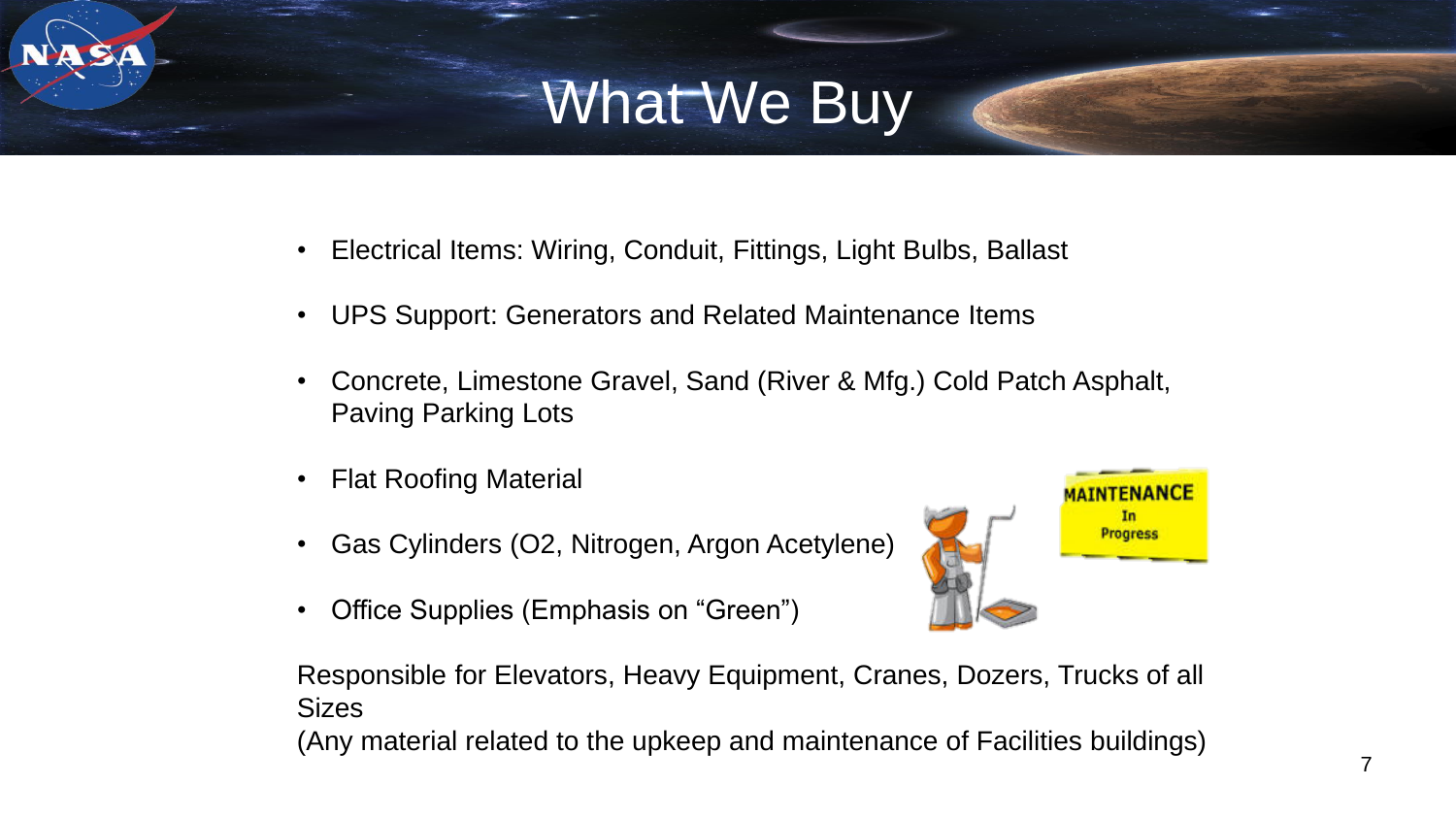## What We Buy

- Electrical Items: Wiring, Conduit, Fittings, Light Bulbs, Ballast
- UPS Support: Generators and Related Maintenance Items
- Concrete, Limestone Gravel, Sand (River & Mfg.) Cold Patch Asphalt, Paving Parking Lots
- Flat Roofing Material
- Gas Cylinders (O2, Nitrogen, Argon Acetylene)
- Office Supplies (Emphasis on "Green")



Responsible for Elevators, Heavy Equipment, Cranes, Dozers, Trucks of all **Sizes** 

(Any material related to the upkeep and maintenance of Facilities buildings)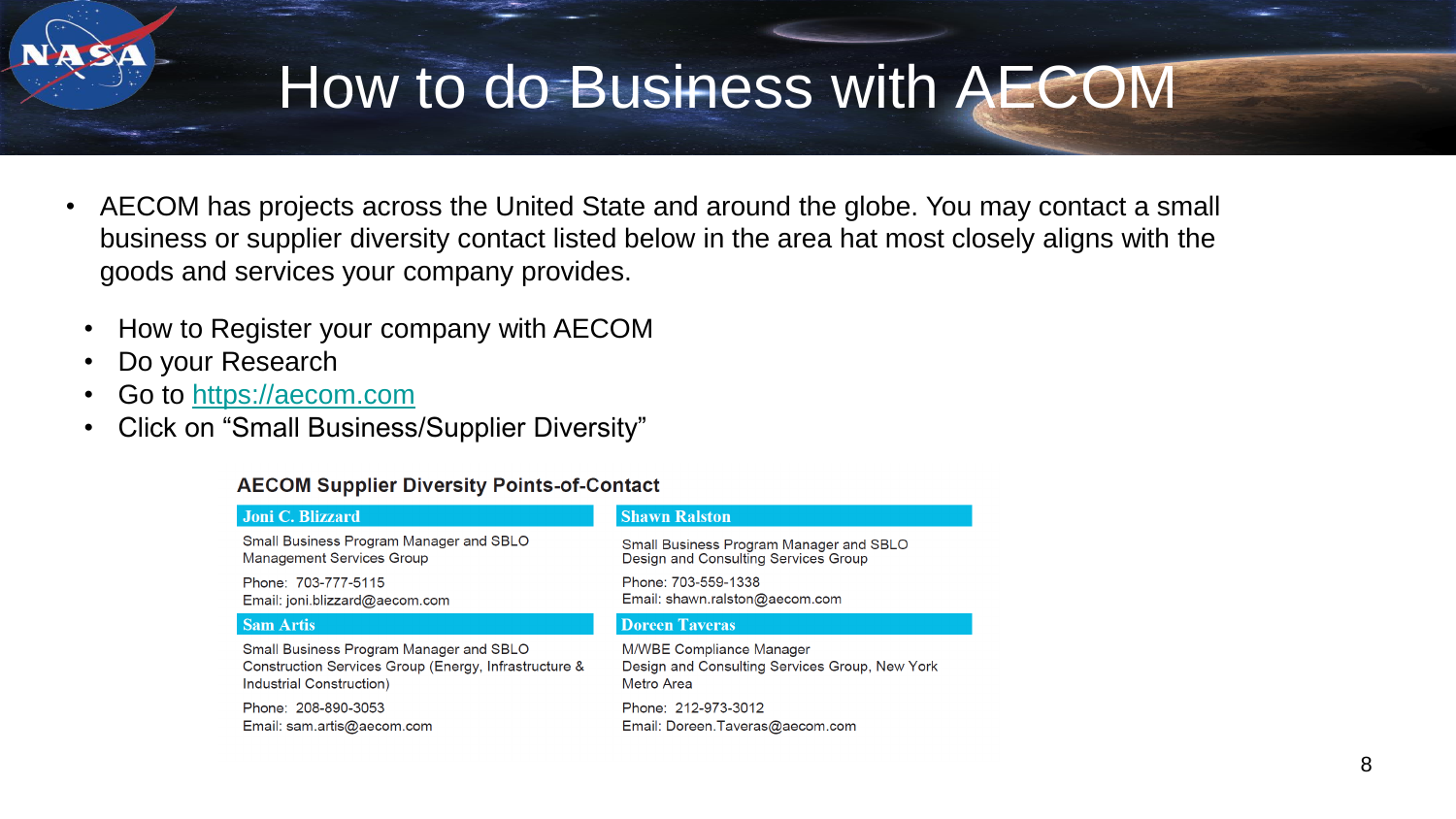### How to do Business with AECOM

- AECOM has projects across the United State and around the globe. You may contact a small business or supplier diversity contact listed below in the area hat most closely aligns with the goods and services your company provides.
	- How to Register your company with AECOM
	- Do your Research
	- Go to [https://aecom.com](https://aecom.com/)
	- Click on "Small Business/Supplier Diversity"

#### **AECOM Supplier Diversity Points-of-Contact**

#### **Joni C. Blizzard**

Small Business Program Manager and SBLO **Management Services Group** 

Phone: 703-777-5115 Email: joni.blizzard@aecom.com

#### **Sam Artis**

Small Business Program Manager and SBLO Construction Services Group (Energy, Infrastructure & Industrial Construction)

Phone: 208-890-3053 Email: sam.artis@aecom.com

#### **Shawn Ralston**

Small Business Program Manager and SBLO Design and Consulting Services Group

Phone: 703-559-1338 Email: shawn.ralston@aecom.com

#### **Doreen Taveras**

M/WBE Compliance Manager Design and Consulting Services Group, New York Metro Area

Phone: 212-973-3012 Email: Doreen.Taveras@aecom.com